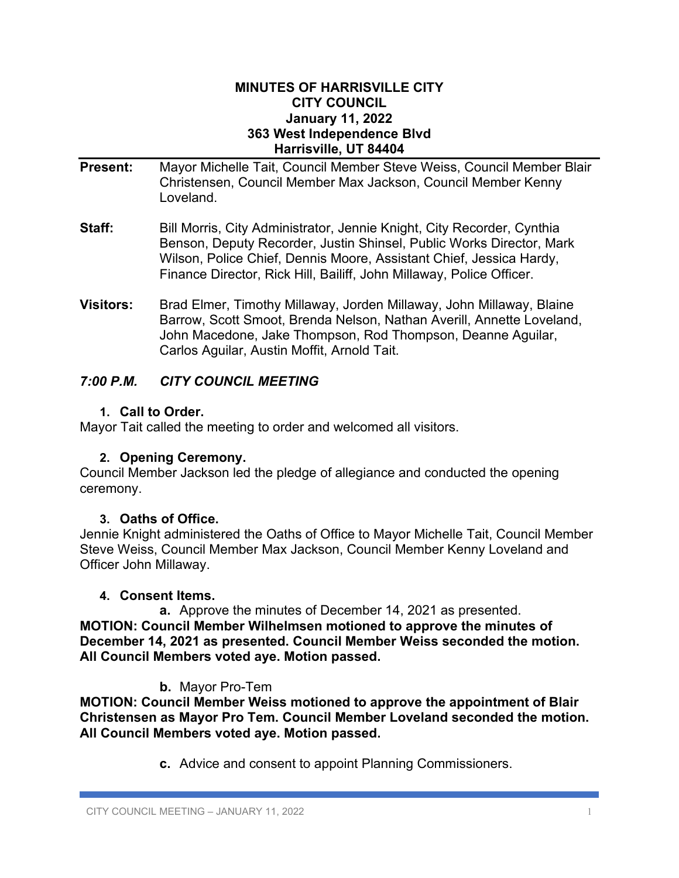#### **MINUTES OF HARRISVILLE CITY CITY COUNCIL January 11, 2022 363 West Independence Blvd Harrisville, UT 84404**

- **Present:** Mayor Michelle Tait, Council Member Steve Weiss, Council Member Blair Christensen, Council Member Max Jackson, Council Member Kenny Loveland.
- **Staff:** Bill Morris, City Administrator, Jennie Knight, City Recorder, Cynthia Benson, Deputy Recorder, Justin Shinsel, Public Works Director, Mark Wilson, Police Chief, Dennis Moore, Assistant Chief, Jessica Hardy, Finance Director, Rick Hill, Bailiff, John Millaway, Police Officer.
- **Visitors:** Brad Elmer, Timothy Millaway, Jorden Millaway, John Millaway, Blaine Barrow, Scott Smoot, Brenda Nelson, Nathan Averill, Annette Loveland, John Macedone, Jake Thompson, Rod Thompson, Deanne Aguilar, Carlos Aguilar, Austin Moffit, Arnold Tait.

# *7:00 P.M. CITY COUNCIL MEETING*

## **1. Call to Order.**

Mayor Tait called the meeting to order and welcomed all visitors.

# **2. Opening Ceremony.**

Council Member Jackson led the pledge of allegiance and conducted the opening ceremony.

# **3. Oaths of Office.**

Jennie Knight administered the Oaths of Office to Mayor Michelle Tait, Council Member Steve Weiss, Council Member Max Jackson, Council Member Kenny Loveland and Officer John Millaway.

## **4. Consent Items.**

**a.** Approve the minutes of December 14, 2021 as presented. **MOTION: Council Member Wilhelmsen motioned to approve the minutes of December 14, 2021 as presented. Council Member Weiss seconded the motion. All Council Members voted aye. Motion passed.**

# **b.** Mayor Pro-Tem

**MOTION: Council Member Weiss motioned to approve the appointment of Blair Christensen as Mayor Pro Tem. Council Member Loveland seconded the motion. All Council Members voted aye. Motion passed.**

**c.** Advice and consent to appoint Planning Commissioners.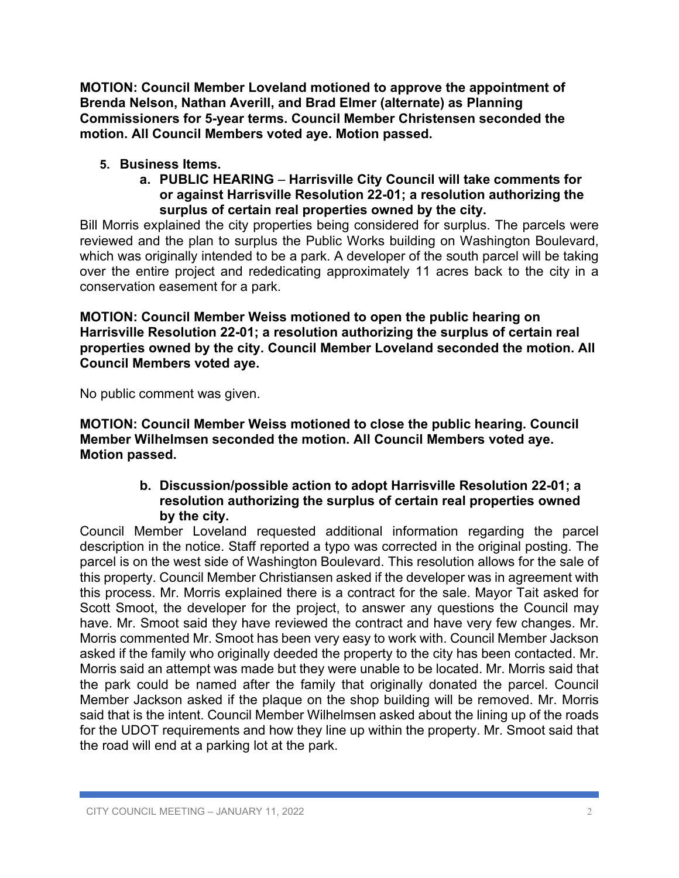**MOTION: Council Member Loveland motioned to approve the appointment of Brenda Nelson, Nathan Averill, and Brad Elmer (alternate) as Planning Commissioners for 5-year terms. Council Member Christensen seconded the motion. All Council Members voted aye. Motion passed.**

## **5. Business Items.**

**a. PUBLIC HEARING** – **Harrisville City Council will take comments for or against Harrisville Resolution 22-01; a resolution authorizing the surplus of certain real properties owned by the city.**

Bill Morris explained the city properties being considered for surplus. The parcels were reviewed and the plan to surplus the Public Works building on Washington Boulevard, which was originally intended to be a park. A developer of the south parcel will be taking over the entire project and rededicating approximately 11 acres back to the city in a conservation easement for a park.

**MOTION: Council Member Weiss motioned to open the public hearing on Harrisville Resolution 22-01; a resolution authorizing the surplus of certain real properties owned by the city. Council Member Loveland seconded the motion. All Council Members voted aye.**

No public comment was given.

**MOTION: Council Member Weiss motioned to close the public hearing. Council Member Wilhelmsen seconded the motion. All Council Members voted aye. Motion passed.**

## **b. Discussion/possible action to adopt Harrisville Resolution 22-01; a resolution authorizing the surplus of certain real properties owned by the city.**

Council Member Loveland requested additional information regarding the parcel description in the notice. Staff reported a typo was corrected in the original posting. The parcel is on the west side of Washington Boulevard. This resolution allows for the sale of this property. Council Member Christiansen asked if the developer was in agreement with this process. Mr. Morris explained there is a contract for the sale. Mayor Tait asked for Scott Smoot, the developer for the project, to answer any questions the Council may have. Mr. Smoot said they have reviewed the contract and have very few changes. Mr. Morris commented Mr. Smoot has been very easy to work with. Council Member Jackson asked if the family who originally deeded the property to the city has been contacted. Mr. Morris said an attempt was made but they were unable to be located. Mr. Morris said that the park could be named after the family that originally donated the parcel. Council Member Jackson asked if the plaque on the shop building will be removed. Mr. Morris said that is the intent. Council Member Wilhelmsen asked about the lining up of the roads for the UDOT requirements and how they line up within the property. Mr. Smoot said that the road will end at a parking lot at the park.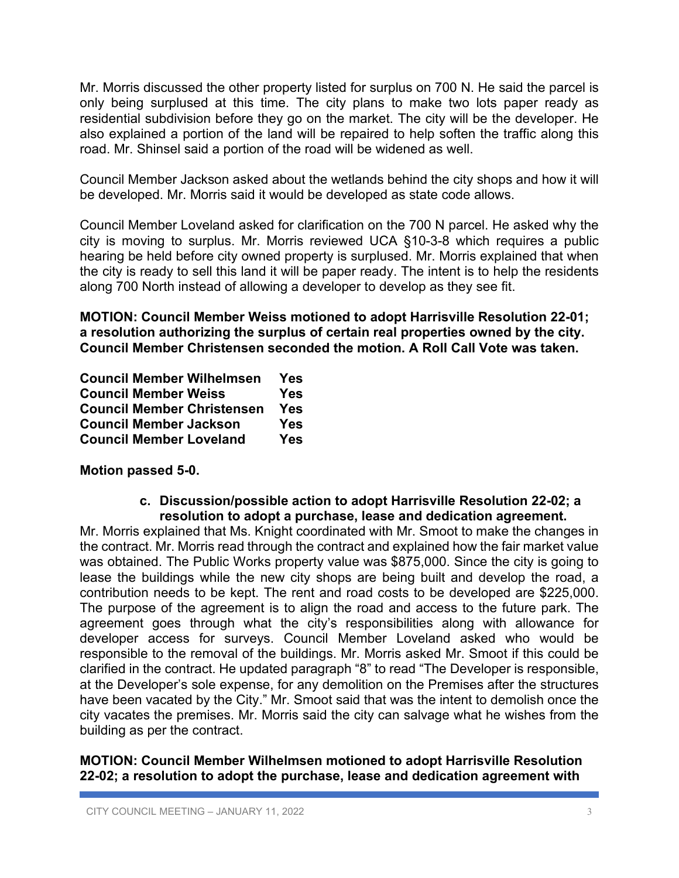Mr. Morris discussed the other property listed for surplus on 700 N. He said the parcel is only being surplused at this time. The city plans to make two lots paper ready as residential subdivision before they go on the market. The city will be the developer. He also explained a portion of the land will be repaired to help soften the traffic along this road. Mr. Shinsel said a portion of the road will be widened as well.

Council Member Jackson asked about the wetlands behind the city shops and how it will be developed. Mr. Morris said it would be developed as state code allows.

Council Member Loveland asked for clarification on the 700 N parcel. He asked why the city is moving to surplus. Mr. Morris reviewed UCA §10-3-8 which requires a public hearing be held before city owned property is surplused. Mr. Morris explained that when the city is ready to sell this land it will be paper ready. The intent is to help the residents along 700 North instead of allowing a developer to develop as they see fit.

**MOTION: Council Member Weiss motioned to adopt Harrisville Resolution 22-01; a resolution authorizing the surplus of certain real properties owned by the city. Council Member Christensen seconded the motion. A Roll Call Vote was taken.**

| <b>Council Member Wilhelmsen</b>  | Yes        |
|-----------------------------------|------------|
| <b>Council Member Weiss</b>       | <b>Yes</b> |
| <b>Council Member Christensen</b> | Yes        |
| <b>Council Member Jackson</b>     | <b>Yes</b> |
| <b>Council Member Loveland</b>    | <b>Yes</b> |

**Motion passed 5-0.**

#### **c. Discussion/possible action to adopt Harrisville Resolution 22-02; a resolution to adopt a purchase, lease and dedication agreement.**

Mr. Morris explained that Ms. Knight coordinated with Mr. Smoot to make the changes in the contract. Mr. Morris read through the contract and explained how the fair market value was obtained. The Public Works property value was \$875,000. Since the city is going to lease the buildings while the new city shops are being built and develop the road, a contribution needs to be kept. The rent and road costs to be developed are \$225,000. The purpose of the agreement is to align the road and access to the future park. The agreement goes through what the city's responsibilities along with allowance for developer access for surveys. Council Member Loveland asked who would be responsible to the removal of the buildings. Mr. Morris asked Mr. Smoot if this could be clarified in the contract. He updated paragraph "8" to read "The Developer is responsible, at the Developer's sole expense, for any demolition on the Premises after the structures have been vacated by the City." Mr. Smoot said that was the intent to demolish once the city vacates the premises. Mr. Morris said the city can salvage what he wishes from the building as per the contract.

#### **MOTION: Council Member Wilhelmsen motioned to adopt Harrisville Resolution 22-02; a resolution to adopt the purchase, lease and dedication agreement with**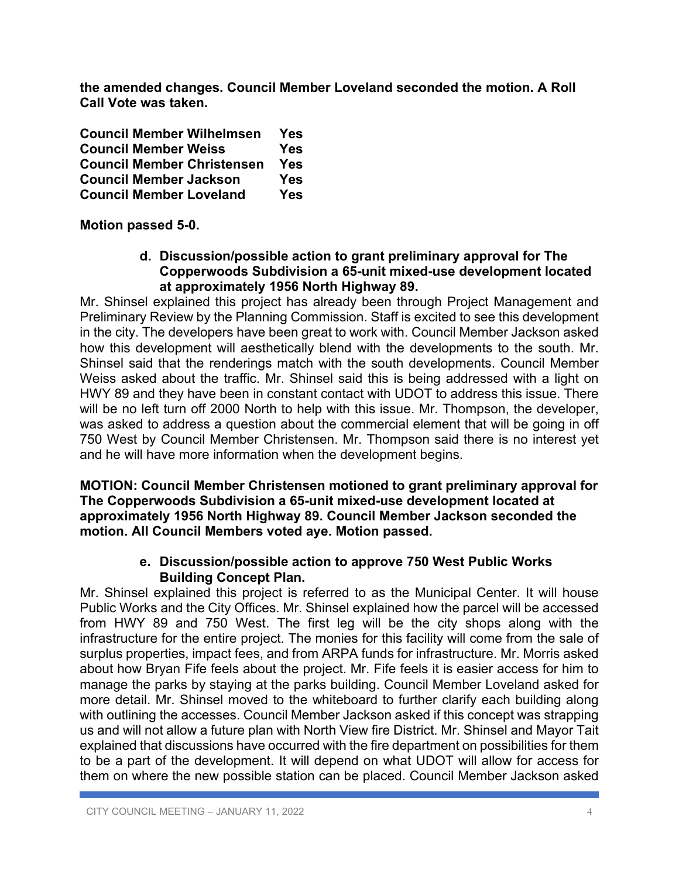**the amended changes. Council Member Loveland seconded the motion. A Roll Call Vote was taken.**

| <b>Council Member Wilhelmsen</b>  | Yes        |
|-----------------------------------|------------|
| <b>Council Member Weiss</b>       | <b>Yes</b> |
| <b>Council Member Christensen</b> | Yes        |
| <b>Council Member Jackson</b>     | <b>Yes</b> |
| <b>Council Member Loveland</b>    | <b>Yes</b> |

**Motion passed 5-0.**

#### **d. Discussion/possible action to grant preliminary approval for The Copperwoods Subdivision a 65-unit mixed-use development located at approximately 1956 North Highway 89.**

Mr. Shinsel explained this project has already been through Project Management and Preliminary Review by the Planning Commission. Staff is excited to see this development in the city. The developers have been great to work with. Council Member Jackson asked how this development will aesthetically blend with the developments to the south. Mr. Shinsel said that the renderings match with the south developments. Council Member Weiss asked about the traffic. Mr. Shinsel said this is being addressed with a light on HWY 89 and they have been in constant contact with UDOT to address this issue. There will be no left turn off 2000 North to help with this issue. Mr. Thompson, the developer, was asked to address a question about the commercial element that will be going in off 750 West by Council Member Christensen. Mr. Thompson said there is no interest yet and he will have more information when the development begins.

#### **MOTION: Council Member Christensen motioned to grant preliminary approval for The Copperwoods Subdivision a 65-unit mixed-use development located at approximately 1956 North Highway 89. Council Member Jackson seconded the motion. All Council Members voted aye. Motion passed.**

### **e. Discussion/possible action to approve 750 West Public Works Building Concept Plan.**

Mr. Shinsel explained this project is referred to as the Municipal Center. It will house Public Works and the City Offices. Mr. Shinsel explained how the parcel will be accessed from HWY 89 and 750 West. The first leg will be the city shops along with the infrastructure for the entire project. The monies for this facility will come from the sale of surplus properties, impact fees, and from ARPA funds for infrastructure. Mr. Morris asked about how Bryan Fife feels about the project. Mr. Fife feels it is easier access for him to manage the parks by staying at the parks building. Council Member Loveland asked for more detail. Mr. Shinsel moved to the whiteboard to further clarify each building along with outlining the accesses. Council Member Jackson asked if this concept was strapping us and will not allow a future plan with North View fire District. Mr. Shinsel and Mayor Tait explained that discussions have occurred with the fire department on possibilities for them to be a part of the development. It will depend on what UDOT will allow for access for them on where the new possible station can be placed. Council Member Jackson asked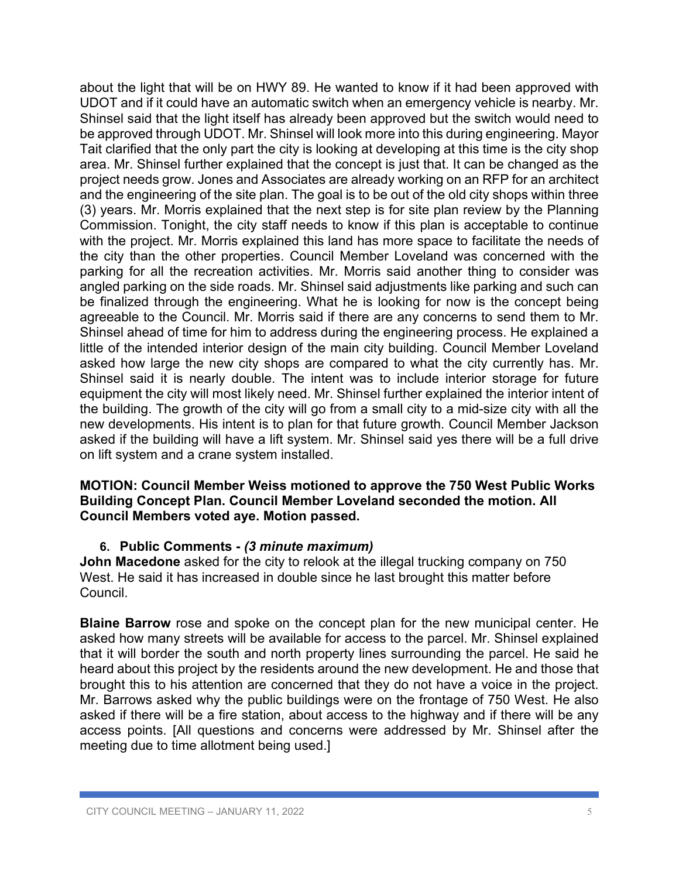about the light that will be on HWY 89. He wanted to know if it had been approved with UDOT and if it could have an automatic switch when an emergency vehicle is nearby. Mr. Shinsel said that the light itself has already been approved but the switch would need to be approved through UDOT. Mr. Shinsel will look more into this during engineering. Mayor Tait clarified that the only part the city is looking at developing at this time is the city shop area. Mr. Shinsel further explained that the concept is just that. It can be changed as the project needs grow. Jones and Associates are already working on an RFP for an architect and the engineering of the site plan. The goal is to be out of the old city shops within three (3) years. Mr. Morris explained that the next step is for site plan review by the Planning Commission. Tonight, the city staff needs to know if this plan is acceptable to continue with the project. Mr. Morris explained this land has more space to facilitate the needs of the city than the other properties. Council Member Loveland was concerned with the parking for all the recreation activities. Mr. Morris said another thing to consider was angled parking on the side roads. Mr. Shinsel said adjustments like parking and such can be finalized through the engineering. What he is looking for now is the concept being agreeable to the Council. Mr. Morris said if there are any concerns to send them to Mr. Shinsel ahead of time for him to address during the engineering process. He explained a little of the intended interior design of the main city building. Council Member Loveland asked how large the new city shops are compared to what the city currently has. Mr. Shinsel said it is nearly double. The intent was to include interior storage for future equipment the city will most likely need. Mr. Shinsel further explained the interior intent of the building. The growth of the city will go from a small city to a mid-size city with all the new developments. His intent is to plan for that future growth. Council Member Jackson asked if the building will have a lift system. Mr. Shinsel said yes there will be a full drive on lift system and a crane system installed.

#### **MOTION: Council Member Weiss motioned to approve the 750 West Public Works Building Concept Plan. Council Member Loveland seconded the motion. All Council Members voted aye. Motion passed.**

#### **6. Public Comments -** *(3 minute maximum)*

**John Macedone** asked for the city to relook at the illegal trucking company on 750 West. He said it has increased in double since he last brought this matter before Council.

**Blaine Barrow** rose and spoke on the concept plan for the new municipal center. He asked how many streets will be available for access to the parcel. Mr. Shinsel explained that it will border the south and north property lines surrounding the parcel. He said he heard about this project by the residents around the new development. He and those that brought this to his attention are concerned that they do not have a voice in the project. Mr. Barrows asked why the public buildings were on the frontage of 750 West. He also asked if there will be a fire station, about access to the highway and if there will be any access points. [All questions and concerns were addressed by Mr. Shinsel after the meeting due to time allotment being used.]